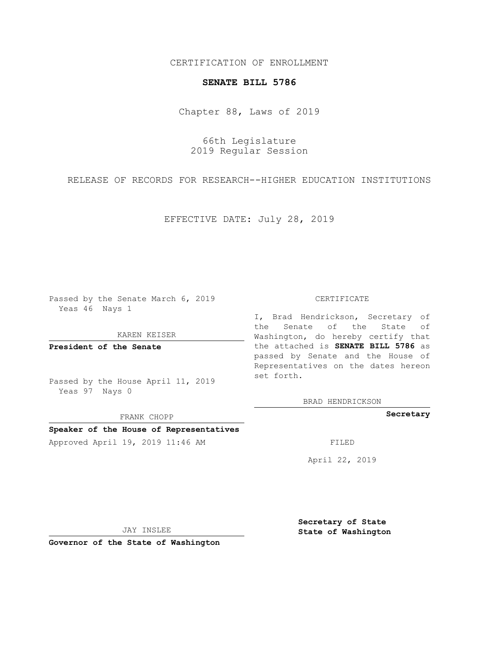# CERTIFICATION OF ENROLLMENT

## **SENATE BILL 5786**

Chapter 88, Laws of 2019

66th Legislature 2019 Regular Session

RELEASE OF RECORDS FOR RESEARCH--HIGHER EDUCATION INSTITUTIONS

EFFECTIVE DATE: July 28, 2019

Passed by the Senate March 6, 2019 Yeas 46 Nays 1

#### KAREN KEISER

**President of the Senate**

Passed by the House April 11, 2019 Yeas 97 Nays 0

FRANK CHOPP

## **Speaker of the House of Representatives**

Approved April 19, 2019 11:46 AM FILED

### CERTIFICATE

I, Brad Hendrickson, Secretary of the Senate of the State of Washington, do hereby certify that the attached is **SENATE BILL 5786** as passed by Senate and the House of Representatives on the dates hereon set forth.

BRAD HENDRICKSON

**Secretary**

April 22, 2019

JAY INSLEE

**Governor of the State of Washington**

**Secretary of State State of Washington**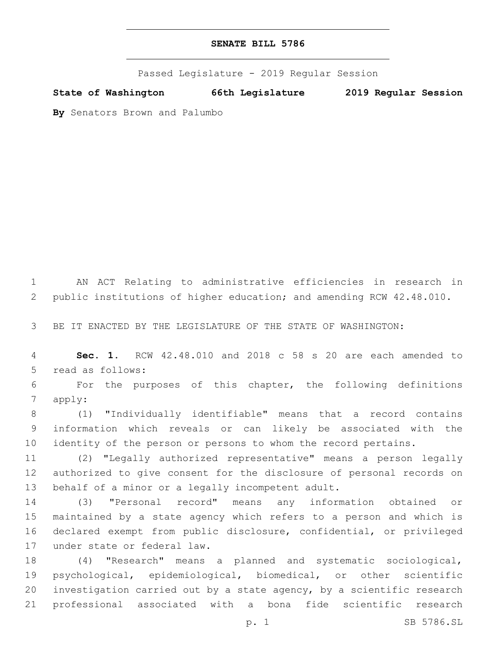Passed Legislature - 2019 Regular Session

**State of Washington 66th Legislature 2019 Regular Session**

**By** Senators Brown and Palumbo

 AN ACT Relating to administrative efficiencies in research in public institutions of higher education; and amending RCW 42.48.010.

BE IT ENACTED BY THE LEGISLATURE OF THE STATE OF WASHINGTON:

 **Sec. 1.** RCW 42.48.010 and 2018 c 58 s 20 are each amended to 5 read as follows:

 For the purposes of this chapter, the following definitions 7 apply:

 (1) "Individually identifiable" means that a record contains information which reveals or can likely be associated with the identity of the person or persons to whom the record pertains.

 (2) "Legally authorized representative" means a person legally authorized to give consent for the disclosure of personal records on 13 behalf of a minor or a legally incompetent adult.

 (3) "Personal record" means any information obtained or maintained by a state agency which refers to a person and which is declared exempt from public disclosure, confidential, or privileged 17 under state or federal law.

 (4) "Research" means a planned and systematic sociological, psychological, epidemiological, biomedical, or other scientific investigation carried out by a state agency, by a scientific research professional associated with a bona fide scientific research